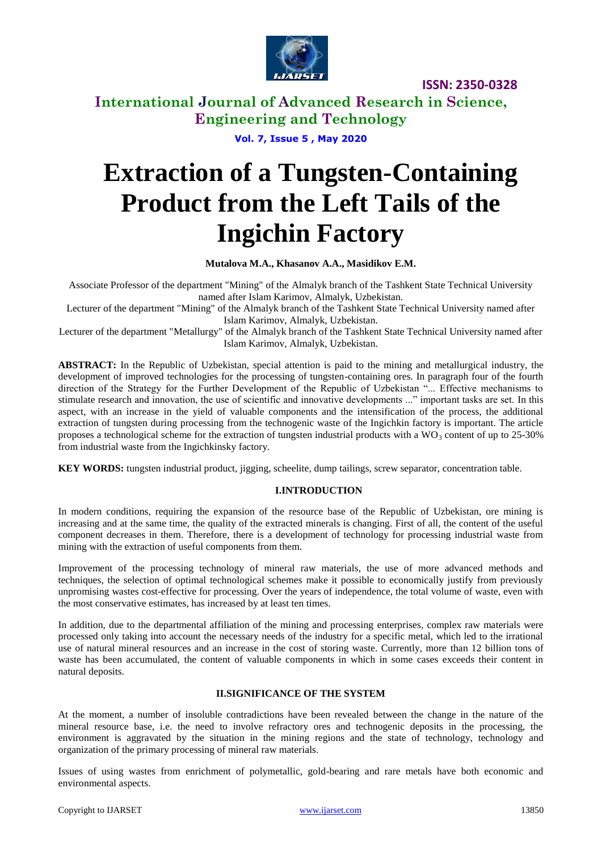

**International Journal of Advanced Research in Science, Engineering and Technology**

**Vol. 7, Issue 5 , May 2020**

# **Extraction of a Tungsten-Containing Product from the Left Tails of the Ingichin Factory**

### **Mutalova M.A., Khasanov A.A., Masidikov E.M.**

Associate Professor of the department "Mining" of the Almalyk branch of the Tashkent State Technical University named after Islam Karimov, Almalyk, Uzbekistan.

Lecturer of the department "Mining" of the Almalyk branch of the Tashkent State Technical University named after Islam Karimov, Almalyk, Uzbekistan.

Lecturer of the department "Metallurgy" of the Almalyk branch of the Tashkent State Technical University named after Islam Karimov, Almalyk, Uzbekistan.

**ABSTRACT:** In the Republic of Uzbekistan, special attention is paid to the mining and metallurgical industry, the development of improved technologies for the processing of tungsten-containing ores. In paragraph four of the fourth direction of the Strategy for the Further Development of the Republic of Uzbekistan "... Effective mechanisms to stimulate research and innovation, the use of scientific and innovative developments ..." important tasks are set. In this aspect, with an increase in the yield of valuable components and the intensification of the process, the additional extraction of tungsten during processing from the technogenic waste of the Ingichkin factory is important. The article proposes a technological scheme for the extraction of tungsten industrial products with a  $WO_3$  content of up to 25-30% from industrial waste from the Ingichkinsky factory.

**KEY WORDS:** tungsten industrial product, jigging, scheelite, dump tailings, screw separator, concentration table.

### **I.INTRODUCTION**

In modern conditions, requiring the expansion of the resource base of the Republic of Uzbekistan, ore mining is increasing and at the same time, the quality of the extracted minerals is changing. First of all, the content of the useful component decreases in them. Therefore, there is a development of technology for processing industrial waste from mining with the extraction of useful components from them.

Improvement of the processing technology of mineral raw materials, the use of more advanced methods and techniques, the selection of optimal technological schemes make it possible to economically justify from previously unpromising wastes cost-effective for processing. Over the years of independence, the total volume of waste, even with the most conservative estimates, has increased by at least ten times.

In addition, due to the departmental affiliation of the mining and processing enterprises, complex raw materials were processed only taking into account the necessary needs of the industry for a specific metal, which led to the irrational use of natural mineral resources and an increase in the cost of storing waste. Currently, more than 12 billion tons of waste has been accumulated, the content of valuable components in which in some cases exceeds their content in natural deposits.

### **II.SIGNIFICANCE OF THE SYSTEM**

At the moment, a number of insoluble contradictions have been revealed between the change in the nature of the mineral resource base, i.e. the need to involve refractory ores and technogenic deposits in the processing, the environment is aggravated by the situation in the mining regions and the state of technology, technology and organization of the primary processing of mineral raw materials.

Issues of using wastes from enrichment of polymetallic, gold-bearing and rare metals have both economic and environmental aspects.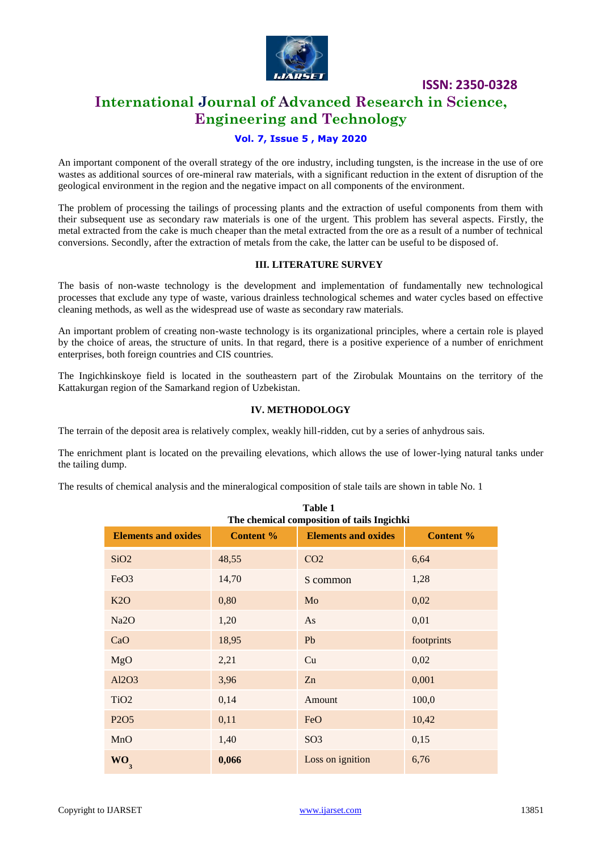

# **International Journal of Advanced Research in Science, Engineering and Technology**

### **Vol. 7, Issue 5 , May 2020**

An important component of the overall strategy of the ore industry, including tungsten, is the increase in the use of ore wastes as additional sources of ore-mineral raw materials, with a significant reduction in the extent of disruption of the geological environment in the region and the negative impact on all components of the environment.

The problem of processing the tailings of processing plants and the extraction of useful components from them with their subsequent use as secondary raw materials is one of the urgent. This problem has several aspects. Firstly, the metal extracted from the cake is much cheaper than the metal extracted from the ore as a result of a number of technical conversions. Secondly, after the extraction of metals from the cake, the latter can be useful to be disposed of.

### **III. LITERATURE SURVEY**

The basis of non-waste technology is the development and implementation of fundamentally new technological processes that exclude any type of waste, various drainless technological schemes and water cycles based on effective cleaning methods, as well as the widespread use of waste as secondary raw materials.

An important problem of creating non-waste technology is its organizational principles, where a certain role is played by the choice of areas, the structure of units. In that regard, there is a positive experience of a number of enrichment enterprises, both foreign countries and CIS countries.

The Ingichkinskoye field is located in the southeastern part of the Zirobulak Mountains on the territory of the Kattakurgan region of the Samarkand region of Uzbekistan.

### **IV. METHODOLOGY**

The terrain of the deposit area is relatively complex, weakly hill-ridden, cut by a series of anhydrous sais.

The enrichment plant is located on the prevailing elevations, which allows the use of lower-lying natural tanks under the tailing dump.

The results of chemical analysis and the mineralogical composition of stale tails are shown in table No. 1

| Table 1<br>The chemical composition of tails Ingichki |                  |                            |            |  |
|-------------------------------------------------------|------------------|----------------------------|------------|--|
| <b>Elements and oxides</b>                            | <b>Content %</b> | <b>Elements and oxides</b> | Content %  |  |
| SiO2                                                  | 48,55            | CO <sub>2</sub>            | 6,64       |  |
| FeO <sub>3</sub>                                      | 14,70            | S common                   | 1,28       |  |
| K2O                                                   | 0,80             | Mo                         | 0,02       |  |
| Na <sub>2</sub> O                                     | 1,20             | As                         | 0,01       |  |
| CaO                                                   | 18,95            | Pb                         | footprints |  |
| MgO                                                   | 2,21             | Cu                         | 0,02       |  |
| Al2O3                                                 | 3,96             | Zn                         | 0,001      |  |
| TiO <sub>2</sub>                                      | 0,14             | Amount                     | 100,0      |  |
| P <sub>2</sub> O <sub>5</sub>                         | 0,11             | FeO                        | 10,42      |  |
| MnO                                                   | 1,40             | SO <sub>3</sub>            | 0,15       |  |
| WO<br>$\mathbf{3}$                                    | 0,066            | Loss on ignition           | 6,76       |  |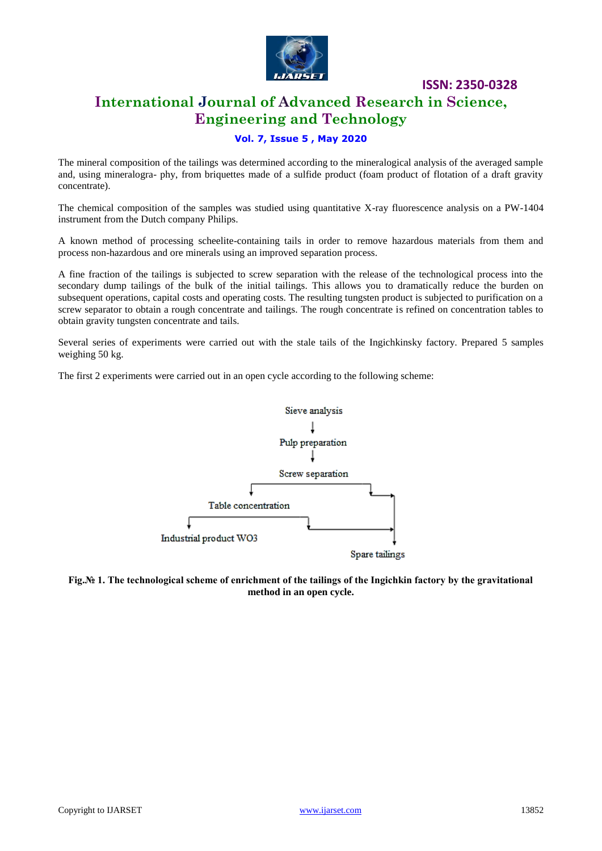

# **International Journal of Advanced Research in Science, Engineering and Technology**

### **Vol. 7, Issue 5 , May 2020**

The mineral composition of the tailings was determined according to the mineralogical analysis of the averaged sample and, using mineralogra- phy, from briquettes made of a sulfide product (foam product of flotation of a draft gravity concentrate).

The chemical composition of the samples was studied using quantitative X-ray fluorescence analysis on a PW-1404 instrument from the Dutch company Philips.

A known method of processing scheelite-containing tails in order to remove hazardous materials from them and process non-hazardous and ore minerals using an improved separation process.

A fine fraction of the tailings is subjected to screw separation with the release of the technological process into the secondary dump tailings of the bulk of the initial tailings. This allows you to dramatically reduce the burden on subsequent operations, capital costs and operating costs. The resulting tungsten product is subjected to purification on a screw separator to obtain a rough concentrate and tailings. The rough concentrate is refined on concentration tables to obtain gravity tungsten concentrate and tails.

Several series of experiments were carried out with the stale tails of the Ingichkinsky factory. Prepared 5 samples weighing 50 kg.

The first 2 experiments were carried out in an open cycle according to the following scheme:



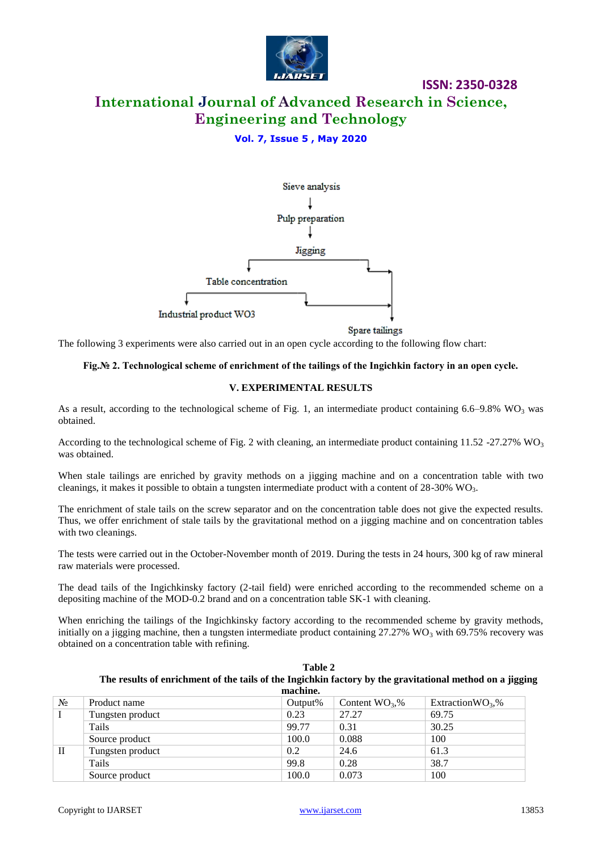

# **International Journal of Advanced Research in Science, Engineering and Technology**

### **Vol. 7, Issue 5 , May 2020**



Spare tailings

**ISSN: 2350-0328**

The following 3 experiments were also carried out in an open cycle according to the following flow chart:

#### **Fig.№ 2. Technological scheme of enrichment of the tailings of the Ingichkin factory in an open cycle.**

#### **V. EXPERIMENTAL RESULTS**

As a result, according to the technological scheme of Fig. 1, an intermediate product containing 6.6–9.8% WO<sub>3</sub> was obtained.

According to the technological scheme of Fig. 2 with cleaning, an intermediate product containing 11.52 -27.27% WO<sub>3</sub> was obtained.

When stale tailings are enriched by gravity methods on a jigging machine and on a concentration table with two cleanings, it makes it possible to obtain a tungsten intermediate product with a content of  $28{\text -}30\%$  WO<sub>3</sub>.

The enrichment of stale tails on the screw separator and on the concentration table does not give the expected results. Thus, we offer enrichment of stale tails by the gravitational method on a jigging machine and on concentration tables with two cleanings.

The tests were carried out in the October-November month of 2019. During the tests in 24 hours, 300 kg of raw mineral raw materials were processed.

The dead tails of the Ingichkinsky factory (2-tail field) were enriched according to the recommended scheme on a depositing machine of the MOD-0.2 brand and on a concentration table SK-1 with cleaning.

When enriching the tailings of the Ingichkinsky factory according to the recommended scheme by gravity methods, initially on a jigging machine, then a tungsten intermediate product containing  $27.27\%$  WO<sub>3</sub> with 69.75% recovery was obtained on a concentration table with refining.

|                                                                                                          |                  | Table 2    |                  |                     |
|----------------------------------------------------------------------------------------------------------|------------------|------------|------------------|---------------------|
| The results of enrichment of the tails of the Ingichkin factory by the gravitational method on a jigging |                  |            |                  |                     |
| machine.                                                                                                 |                  |            |                  |                     |
| $N_2$                                                                                                    | Product name     | $Output\%$ | Content $WO_3$ % | Extraction $WO_3$ % |
|                                                                                                          | Tungsten product | 0.23       | 27.27            | 69.75               |
|                                                                                                          | Tails            | 99.77      | 0.31             | 30.25               |
|                                                                                                          | Source product   | 100.0      | 0.088            | 100                 |
| $\rm{II}$                                                                                                | Tungsten product | 0.2        | 24.6             | 61.3                |
|                                                                                                          | Tails            | 99.8       | 0.28             | 38.7                |
|                                                                                                          | Source product   | 100.0      | 0.073            | 100                 |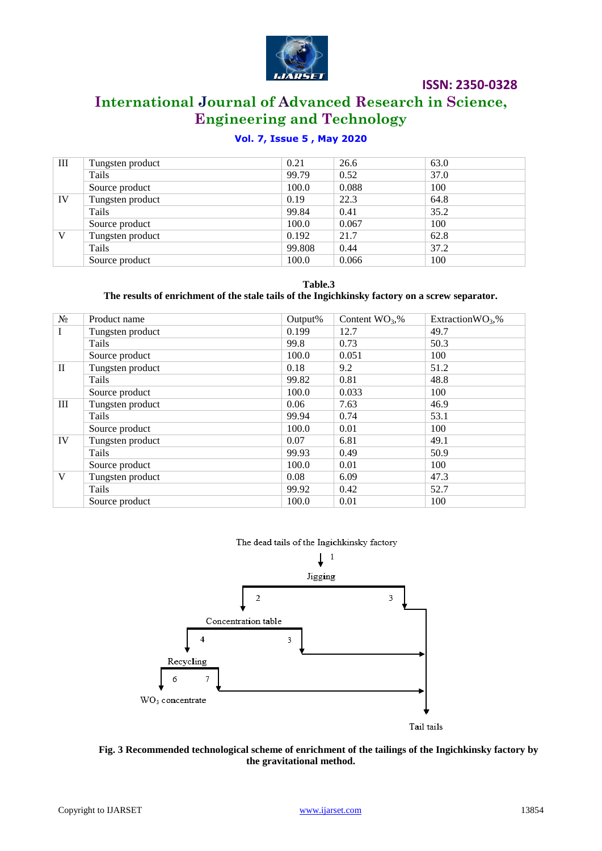

# **International Journal of Advanced Research in Science, Engineering and Technology**

## **Vol. 7, Issue 5 , May 2020**

| Ш  | Tungsten product | 0.21   | 26.6  | 63.0 |
|----|------------------|--------|-------|------|
|    | Tails            | 99.79  | 0.52  | 37.0 |
|    | Source product   | 100.0  | 0.088 | 100  |
| IV | Tungsten product | 0.19   | 22.3  | 64.8 |
|    | Tails            | 99.84  | 0.41  | 35.2 |
|    | Source product   | 100.0  | 0.067 | 100  |
| V  | Tungsten product | 0.192  | 21.7  | 62.8 |
|    | Tails            | 99.808 | 0.44  | 37.2 |
|    | Source product   | 100.0  | 0.066 | 100  |

**Table.3**

### **The results of enrichment of the stale tails of the Ingichkinsky factory on a screw separator.**

| $N_2$        | Product name     | Output <sup>%</sup> | Content $WO_3$ % | Extraction $WO_3$ % |
|--------------|------------------|---------------------|------------------|---------------------|
| $\mathbf I$  | Tungsten product | 0.199               | 12.7             | 49.7                |
|              | Tails            | 99.8                | 0.73             | 50.3                |
|              | Source product   | 100.0               | 0.051            | 100                 |
| $\mathbf{I}$ | Tungsten product | 0.18                | 9.2              | 51.2                |
|              | Tails            | 99.82               | 0.81             | 48.8                |
|              | Source product   | 100.0               | 0.033            | 100                 |
| Ш            | Tungsten product | 0.06                | 7.63             | 46.9                |
|              | Tails            | 99.94               | 0.74             | 53.1                |
|              | Source product   | 100.0               | 0.01             | 100                 |
| IV           | Tungsten product | 0.07                | 6.81             | 49.1                |
|              | Tails            | 99.93               | 0.49             | 50.9                |
|              | Source product   | 100.0               | 0.01             | 100                 |
| V            | Tungsten product | 0.08                | 6.09             | 47.3                |
|              | Tails            | 99.92               | 0.42             | 52.7                |
|              | Source product   | 100.0               | 0.01             | 100                 |

#### The dead tails of the Ingichkinsky factory



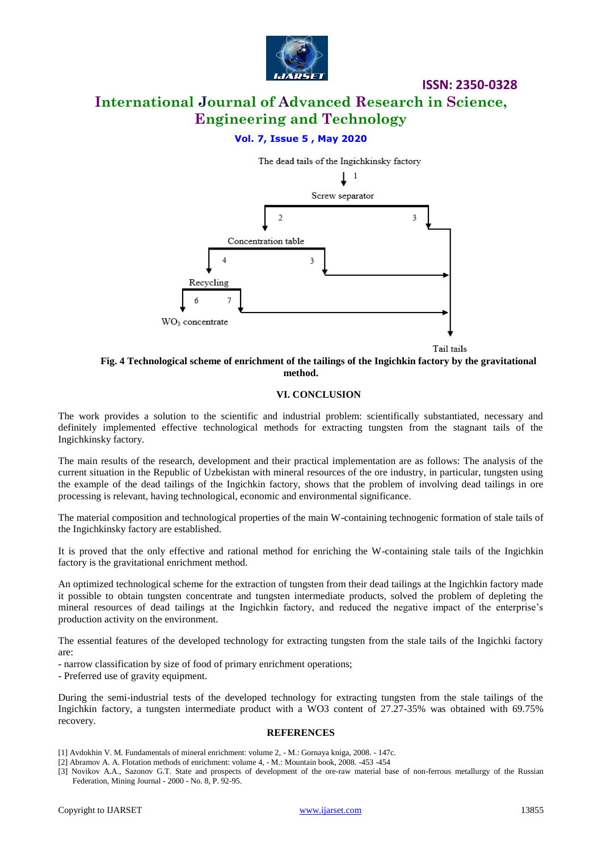

# **International Journal of Advanced Research in Science, Engineering and Technology**

### **Vol. 7, Issue 5 , May 2020**



Tail tails

### **Fig. 4 Technological scheme of enrichment of the tailings of the Ingichkin factory by the gravitational method.**

#### **VI. CONCLUSION**

The work provides a solution to the scientific and industrial problem: scientifically substantiated, necessary and definitely implemented effective technological methods for extracting tungsten from the stagnant tails of the Ingichkinsky factory.

The main results of the research, development and their practical implementation are as follows: The analysis of the current situation in the Republic of Uzbekistan with mineral resources of the ore industry, in particular, tungsten using the example of the dead tailings of the Ingichkin factory, shows that the problem of involving dead tailings in ore processing is relevant, having technological, economic and environmental significance.

The material composition and technological properties of the main W-containing technogenic formation of stale tails of the Ingichkinsky factory are established.

It is proved that the only effective and rational method for enriching the W-containing stale tails of the Ingichkin factory is the gravitational enrichment method.

An optimized technological scheme for the extraction of tungsten from their dead tailings at the Ingichkin factory made it possible to obtain tungsten concentrate and tungsten intermediate products, solved the problem of depleting the mineral resources of dead tailings at the Ingichkin factory, and reduced the negative impact of the enterprise's production activity on the environment.

The essential features of the developed technology for extracting tungsten from the stale tails of the Ingichki factory are:

- narrow classification by size of food of primary enrichment operations;

- Preferred use of gravity equipment.

During the semi-industrial tests of the developed technology for extracting tungsten from the stale tailings of the Ingichkin factory, a tungsten intermediate product with a WO3 content of 27.27-35% was obtained with 69.75% recovery.

#### **REFERENCES**

- [1] Avdokhin V. M. Fundamentals of mineral enrichment: volume 2, M.: Gornaya kniga, 2008. 147c.
- [2] Abramov A. A. Flotation methods of enrichment: volume 4, M.: Mountain book, 2008. -453 -454
- [3] Novikov A.A., Sazonov G.T. State and prospects of development of the ore-raw material base of non-ferrous metallurgy of the Russian Federation, Mining Journal - 2000 - No. 8, P. 92-95.